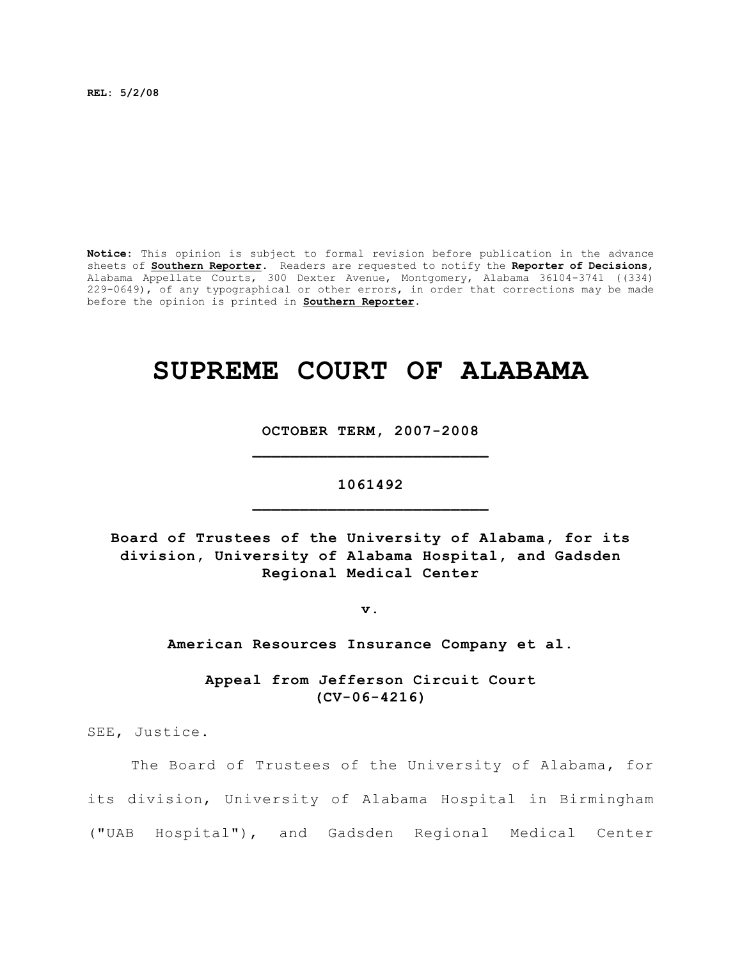**REL: 5/2/08**

**Notice:** This opinion is subject to formal revision before publication in the advance sheets of **Southern Reporter**. Readers are requested to notify the **Reporter of Decisions**, Alabama Appellate Courts, 300 Dexter Avenue, Montgomery, Alabama 36104-3741 ((334) 229-0649), of any typographical or other errors, in order that corrections may be made before the opinion is printed in **Southern Reporter**.

# **SUPREME COURT OF ALABAMA**

**OCTOBER TERM, 2007-2008 \_\_\_\_\_\_\_\_\_\_\_\_\_\_\_\_\_\_\_\_\_\_\_\_\_**

## **1061492 \_\_\_\_\_\_\_\_\_\_\_\_\_\_\_\_\_\_\_\_\_\_\_\_\_**

**Board of Trustees of the University of Alabama, for its division, University of Alabama Hospital, and Gadsden Regional Medical Center**

**v.**

**American Resources Insurance Company et al.**

**Appeal from Jefferson Circuit Court (CV-06-4216)**

SEE, Justice.

The Board of Trustees of the University of Alabama, for its division, University of Alabama Hospital in Birmingham ("UAB Hospital"), and Gadsden Regional Medical Center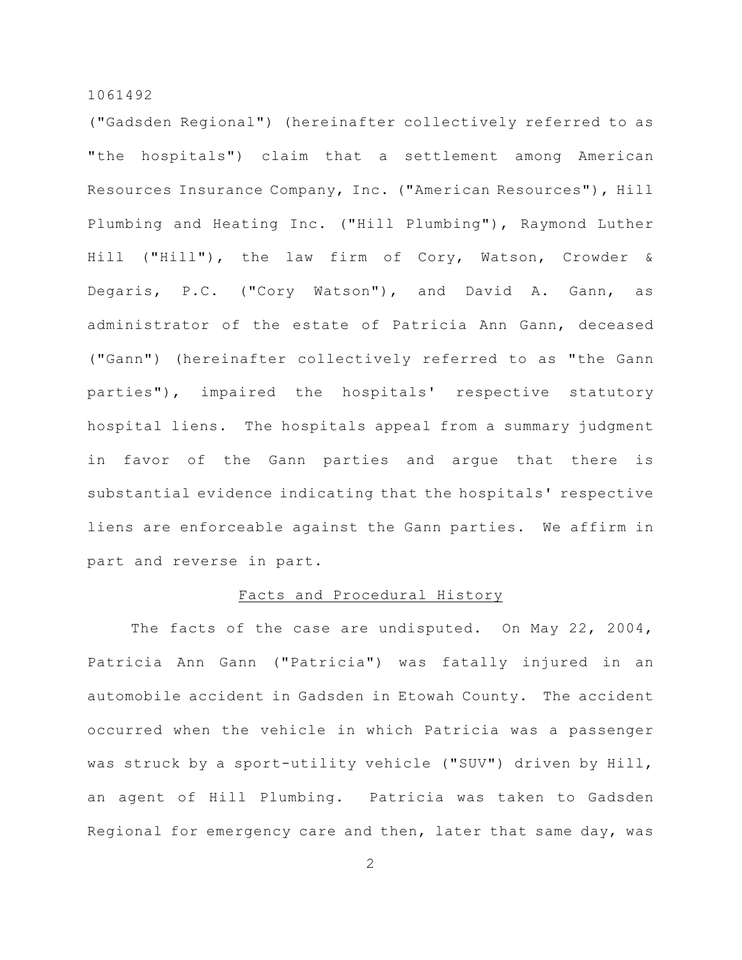("Gadsden Regional") (hereinafter collectively referred to as "the hospitals") claim that a settlement among American Resources Insurance Company, Inc. ("American Resources"), Hill Plumbing and Heating Inc. ("Hill Plumbing"), Raymond Luther Hill ("Hill"), the law firm of Cory, Watson, Crowder & Degaris, P.C. ("Cory Watson"), and David A. Gann, as administrator of the estate of Patricia Ann Gann, deceased ("Gann") (hereinafter collectively referred to as "the Gann parties"), impaired the hospitals' respective statutory hospital liens. The hospitals appeal from a summary judgment in favor of the Gann parties and argue that there is substantial evidence indicating that the hospitals' respective liens are enforceable against the Gann parties. We affirm in part and reverse in part.

## Facts and Procedural History

The facts of the case are undisputed. On May 22, 2004, Patricia Ann Gann ("Patricia") was fatally injured in an automobile accident in Gadsden in Etowah County. The accident occurred when the vehicle in which Patricia was a passenger was struck by a sport-utility vehicle ("SUV") driven by Hill, an agent of Hill Plumbing. Patricia was taken to Gadsden Regional for emergency care and then, later that same day, was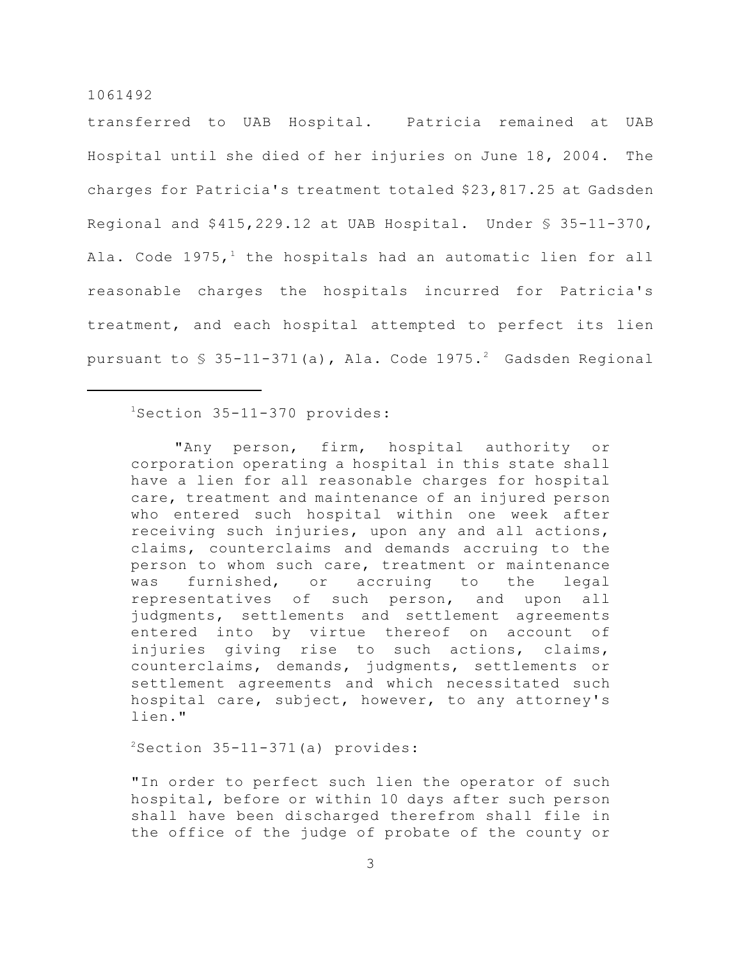transferred to UAB Hospital. Patricia remained at UAB Hospital until she died of her injuries on June 18, 2004. The charges for Patricia's treatment totaled \$23,817.25 at Gadsden Regional and \$415,229.12 at UAB Hospital. Under § 35-11-370, Ala. Code  $1975,$ <sup>1</sup> the hospitals had an automatic lien for all reasonable charges the hospitals incurred for Patricia's treatment, and each hospital attempted to perfect its lien pursuant to  $\frac{1}{5}$  35-11-371(a), Ala. Code 1975.<sup>2</sup> Gadsden Regional

 $1$ Section 35-11-370 provides:

"Any person, firm, hospital authority or corporation operating a hospital in this state shall have a lien for all reasonable charges for hospital care, treatment and maintenance of an injured person who entered such hospital within one week after receiving such injuries, upon any and all actions, claims, counterclaims and demands accruing to the person to whom such care, treatment or maintenance was furnished, or accruing to the legal representatives of such person, and upon all judgments, settlements and settlement agreements entered into by virtue thereof on account of injuries giving rise to such actions, claims, counterclaims, demands, judgments, settlements or settlement agreements and which necessitated such hospital care, subject, however, to any attorney's lien."

 $2$ Section 35-11-371(a) provides:

"In order to perfect such lien the operator of such hospital, before or within 10 days after such person shall have been discharged therefrom shall file in the office of the judge of probate of the county or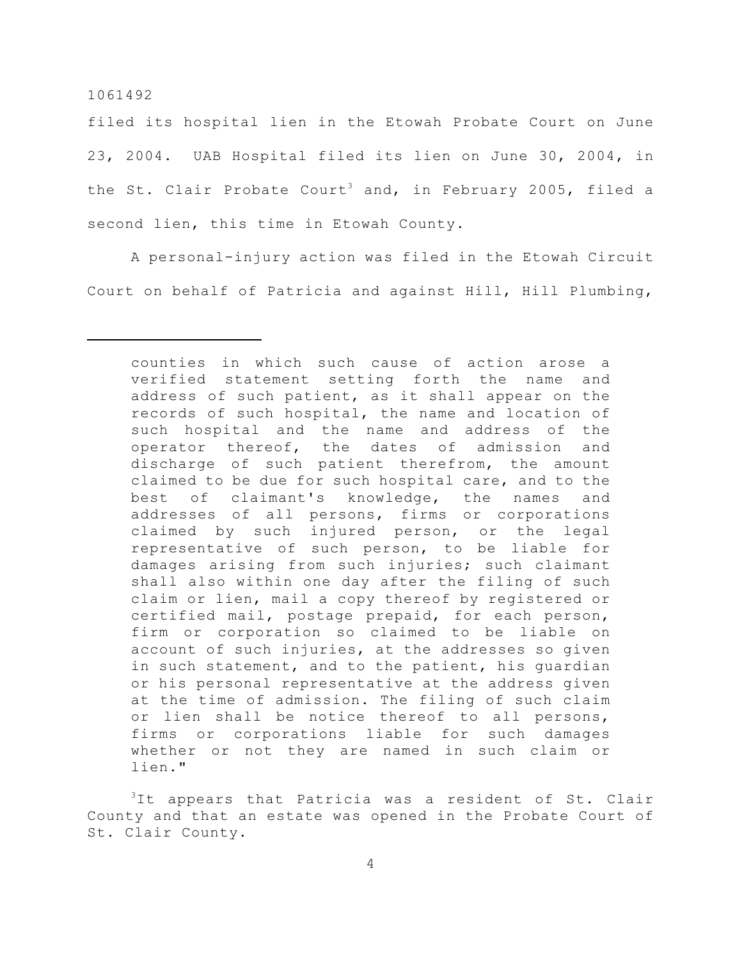filed its hospital lien in the Etowah Probate Court on June 23, 2004. UAB Hospital filed its lien on June 30, 2004, in the St. Clair Probate Court<sup>3</sup> and, in February 2005, filed a second lien, this time in Etowah County.

A personal-injury action was filed in the Etowah Circuit Court on behalf of Patricia and against Hill, Hill Plumbing,

 $3$ It appears that Patricia was a resident of St. Clair County and that an estate was opened in the Probate Court of St. Clair County.

counties in which such cause of action arose a verified statement setting forth the name and address of such patient, as it shall appear on the records of such hospital, the name and location of such hospital and the name and address of the operator thereof, the dates of admission and discharge of such patient therefrom, the amount claimed to be due for such hospital care, and to the best of claimant's knowledge, the names and addresses of all persons, firms or corporations claimed by such injured person, or the legal representative of such person, to be liable for damages arising from such injuries; such claimant shall also within one day after the filing of such claim or lien, mail a copy thereof by registered or certified mail, postage prepaid, for each person, firm or corporation so claimed to be liable on account of such injuries, at the addresses so given in such statement, and to the patient, his guardian or his personal representative at the address given at the time of admission. The filing of such claim or lien shall be notice thereof to all persons, firms or corporations liable for such damages whether or not they are named in such claim or lien."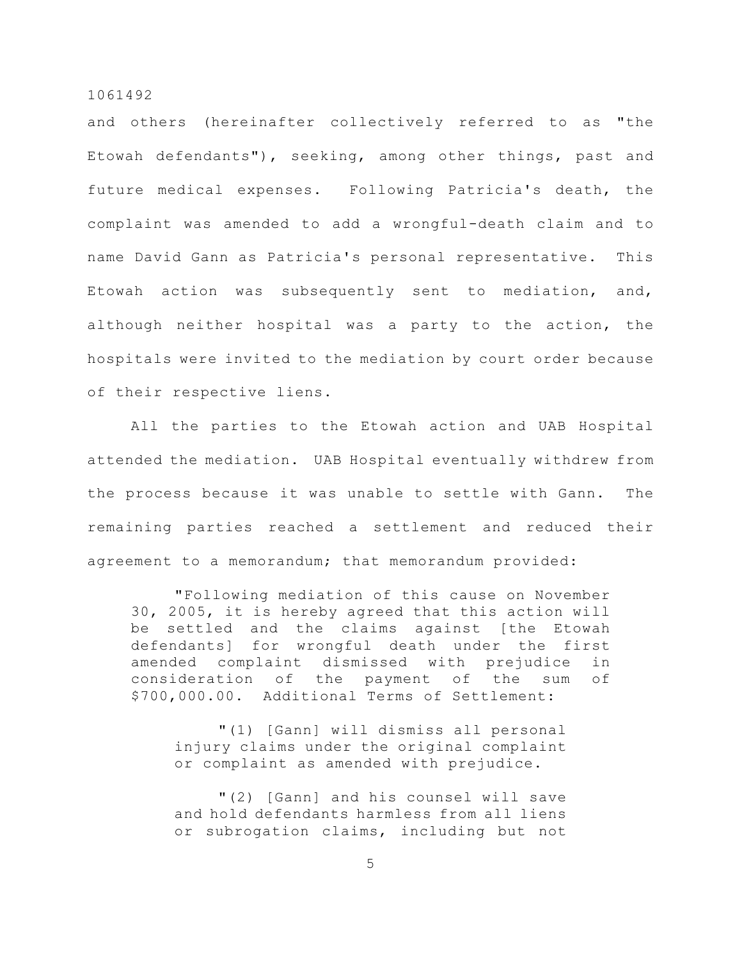and others (hereinafter collectively referred to as "the Etowah defendants"), seeking, among other things, past and future medical expenses. Following Patricia's death, the complaint was amended to add a wrongful-death claim and to name David Gann as Patricia's personal representative. This Etowah action was subsequently sent to mediation, and, although neither hospital was a party to the action, the hospitals were invited to the mediation by court order because of their respective liens.

All the parties to the Etowah action and UAB Hospital attended the mediation. UAB Hospital eventually withdrew from the process because it was unable to settle with Gann. The remaining parties reached a settlement and reduced their agreement to a memorandum; that memorandum provided:

"Following mediation of this cause on November 30, 2005, it is hereby agreed that this action will be settled and the claims against [the Etowah defendants] for wrongful death under the first amended complaint dismissed with prejudice in consideration of the payment of the sum of \$700,000.00. Additional Terms of Settlement:

"(1) [Gann] will dismiss all personal injury claims under the original complaint or complaint as amended with prejudice.

"(2) [Gann] and his counsel will save and hold defendants harmless from all liens or subrogation claims, including but not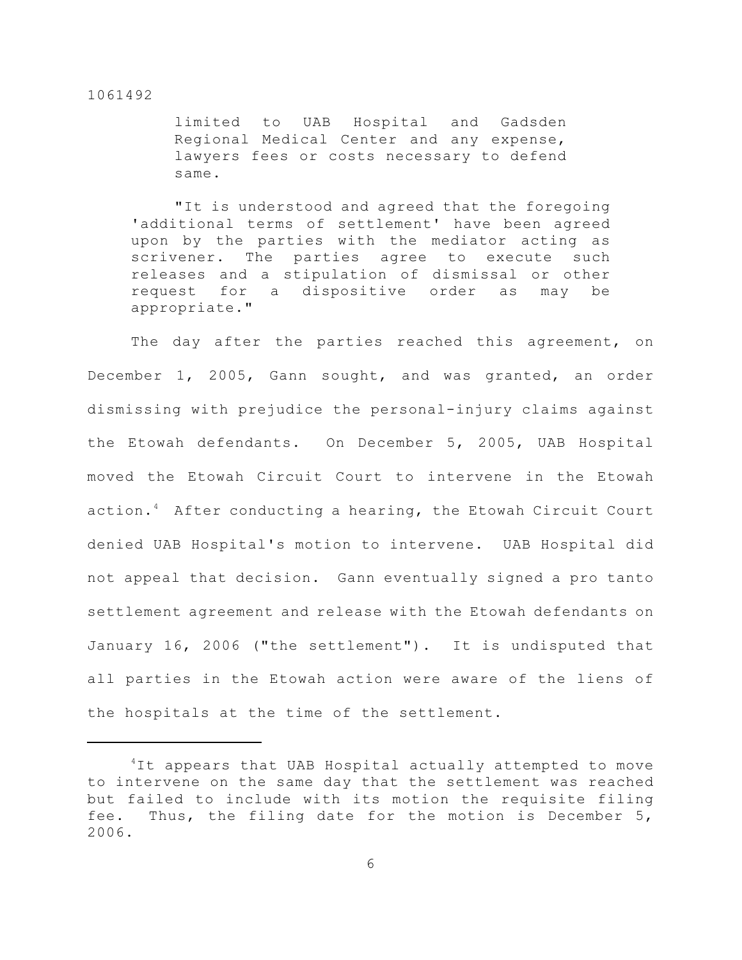limited to UAB Hospital and Gadsden Regional Medical Center and any expense, lawyers fees or costs necessary to defend same.

"It is understood and agreed that the foregoing 'additional terms of settlement' have been agreed upon by the parties with the mediator acting as scrivener. The parties agree to execute such releases and a stipulation of dismissal or other request for a dispositive order as may be appropriate."

The day after the parties reached this agreement, on December 1, 2005, Gann sought, and was granted, an order dismissing with prejudice the personal-injury claims against the Etowah defendants. On December 5, 2005, UAB Hospital moved the Etowah Circuit Court to intervene in the Etowah action.<sup>4</sup> After conducting a hearing, the Etowah Circuit Court denied UAB Hospital's motion to intervene. UAB Hospital did not appeal that decision. Gann eventually signed a pro tanto settlement agreement and release with the Etowah defendants on January 16, 2006 ("the settlement"). It is undisputed that all parties in the Etowah action were aware of the liens of the hospitals at the time of the settlement.

 ${}^{4}$ It appears that UAB Hospital actually attempted to move to intervene on the same day that the settlement was reached but failed to include with its motion the requisite filing fee. Thus, the filing date for the motion is December 5, 2006.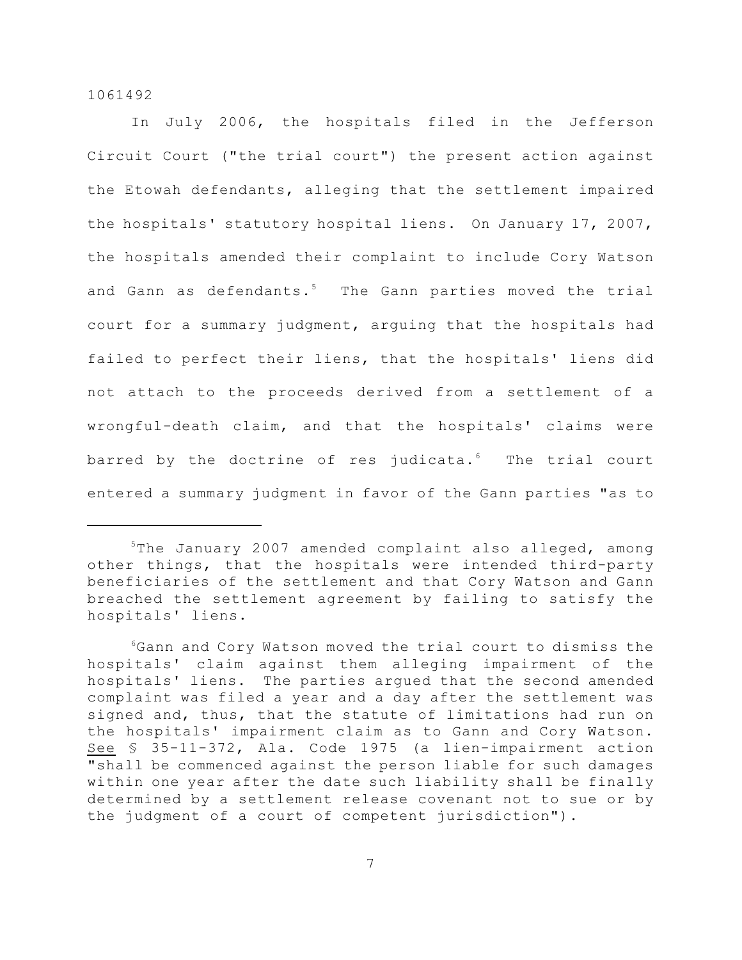In July 2006, the hospitals filed in the Jefferson Circuit Court ("the trial court") the present action against the Etowah defendants, alleging that the settlement impaired the hospitals' statutory hospital liens. On January 17, 2007, the hospitals amended their complaint to include Cory Watson and Gann as defendants.<sup>5</sup> The Gann parties moved the trial court for a summary judgment, arguing that the hospitals had failed to perfect their liens, that the hospitals' liens did not attach to the proceeds derived from a settlement of a wrongful-death claim, and that the hospitals' claims were barred by the doctrine of res judicata. $6$  The trial court entered a summary judgment in favor of the Gann parties "as to

 $5$ The January 2007 amended complaint also alleged, among other things, that the hospitals were intended third-party beneficiaries of the settlement and that Cory Watson and Gann breached the settlement agreement by failing to satisfy the hospitals' liens.

 $6$ Gann and Cory Watson moved the trial court to dismiss the hospitals' claim against them alleging impairment of the hospitals' liens. The parties argued that the second amended complaint was filed a year and a day after the settlement was signed and, thus, that the statute of limitations had run on the hospitals' impairment claim as to Gann and Cory Watson. See § 35-11-372, Ala. Code 1975 (a lien-impairment action "shall be commenced against the person liable for such damages within one year after the date such liability shall be finally determined by a settlement release covenant not to sue or by the judgment of a court of competent jurisdiction").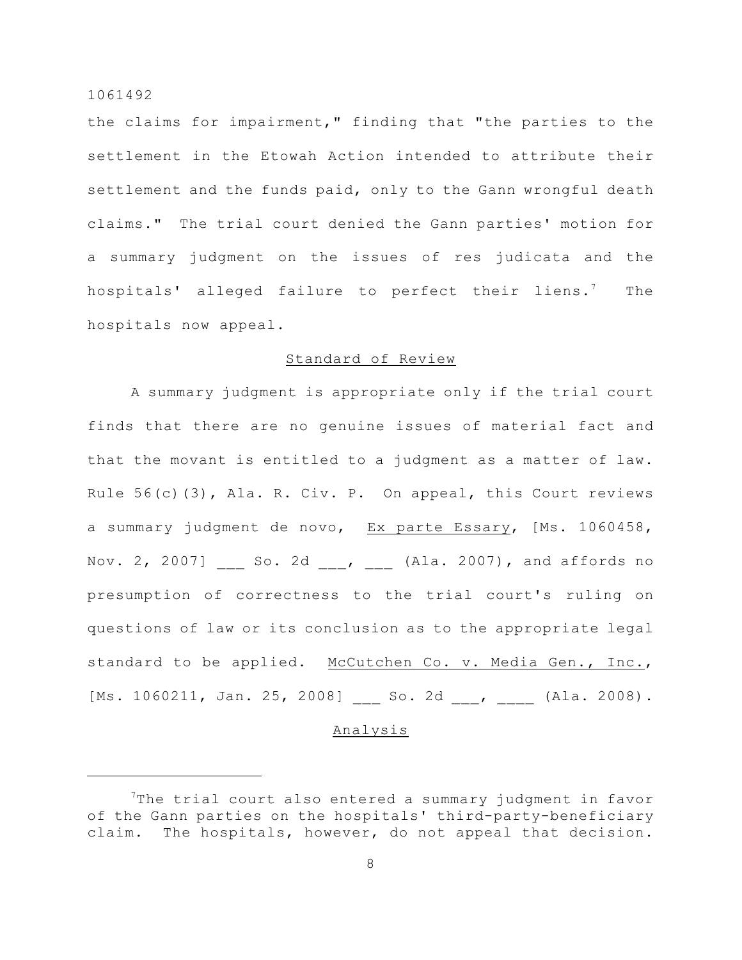the claims for impairment," finding that "the parties to the settlement in the Etowah Action intended to attribute their settlement and the funds paid, only to the Gann wrongful death claims." The trial court denied the Gann parties' motion for a summary judgment on the issues of res judicata and the hospitals' alleged failure to perfect their liens.<sup>7</sup> The hospitals now appeal.

## Standard of Review

A summary judgment is appropriate only if the trial court finds that there are no genuine issues of material fact and that the movant is entitled to a judgment as a matter of law. Rule 56(c)(3), Ala. R. Civ. P. On appeal, this Court reviews a summary judgment de novo, Ex parte Essary, [Ms. 1060458, Nov. 2, 2007] So. 2d , (Ala. 2007), and affords no presumption of correctness to the trial court's ruling on questions of law or its conclusion as to the appropriate legal standard to be applied. McCutchen Co. v. Media Gen., Inc., [Ms. 1060211, Jan. 25, 2008] \_\_\_ So. 2d \_\_\_, \_\_\_\_ (Ala. 2008).

#### Analysis

 $7$ The trial court also entered a summary judgment in favor of the Gann parties on the hospitals' third-party-beneficiary claim. The hospitals, however, do not appeal that decision.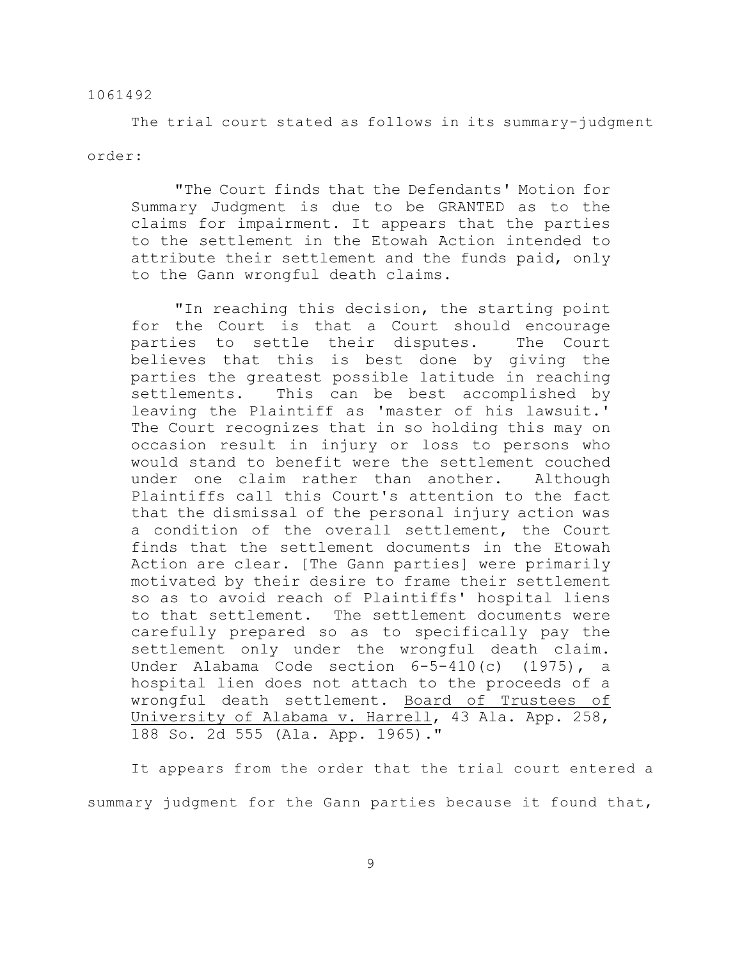The trial court stated as follows in its summary-judgment

order:

"The Court finds that the Defendants' Motion for Summary Judgment is due to be GRANTED as to the claims for impairment. It appears that the parties to the settlement in the Etowah Action intended to attribute their settlement and the funds paid, only to the Gann wrongful death claims.

"In reaching this decision, the starting point for the Court is that a Court should encourage parties to settle their disputes. The Court believes that this is best done by giving the parties the greatest possible latitude in reaching settlements. This can be best accomplished by leaving the Plaintiff as 'master of his lawsuit.' The Court recognizes that in so holding this may on occasion result in injury or loss to persons who would stand to benefit were the settlement couched under one claim rather than another. Although Plaintiffs call this Court's attention to the fact that the dismissal of the personal injury action was a condition of the overall settlement, the Court finds that the settlement documents in the Etowah Action are clear. [The Gann parties] were primarily motivated by their desire to frame their settlement so as to avoid reach of Plaintiffs' hospital liens to that settlement. The settlement documents were carefully prepared so as to specifically pay the settlement only under the wrongful death claim. Under Alabama Code section 6-5-410(c) (1975), a hospital lien does not attach to the proceeds of a wrongful death settlement. Board of Trustees of University of Alabama v. Harrell, 43 Ala. App. 258, 188 So. 2d 555 (Ala. App. 1965)."

It appears from the order that the trial court entered a summary judgment for the Gann parties because it found that,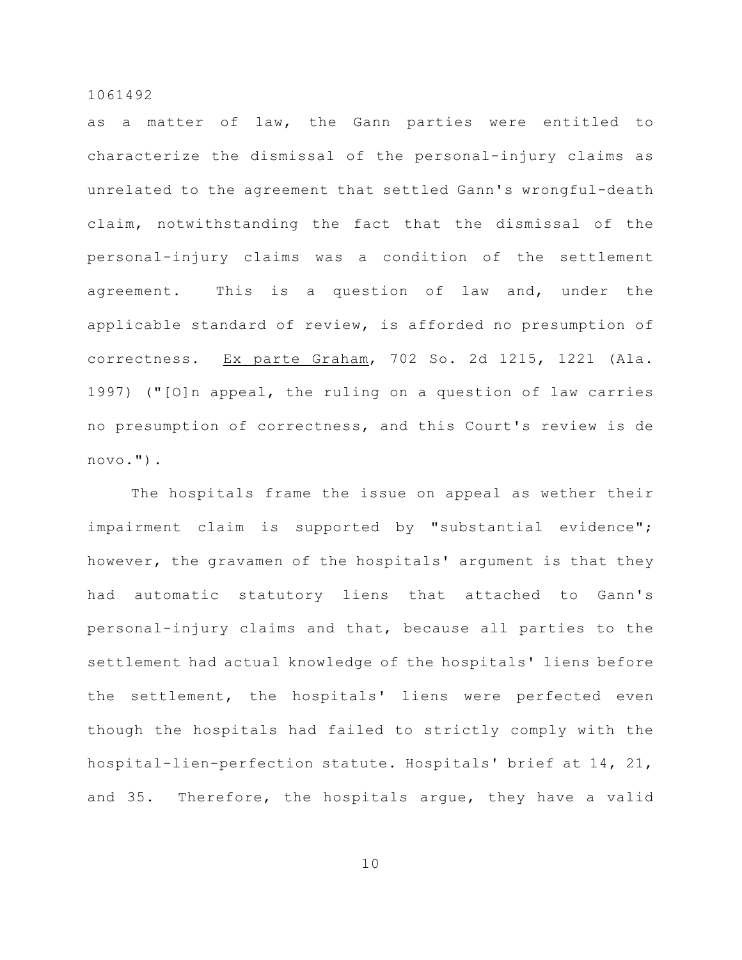as a matter of law, the Gann parties were entitled to characterize the dismissal of the personal-injury claims as unrelated to the agreement that settled Gann's wrongful-death claim, notwithstanding the fact that the dismissal of the personal-injury claims was a condition of the settlement agreement. This is a question of law and, under the applicable standard of review, is afforded no presumption of correctness. Ex parte Graham, 702 So. 2d 1215, 1221 (Ala. 1997) ("[O]n appeal, the ruling on a question of law carries no presumption of correctness, and this Court's review is de novo.").

The hospitals frame the issue on appeal as wether their impairment claim is supported by "substantial evidence"; however, the gravamen of the hospitals' argument is that they had automatic statutory liens that attached to Gann's personal-injury claims and that, because all parties to the settlement had actual knowledge of the hospitals' liens before the settlement, the hospitals' liens were perfected even though the hospitals had failed to strictly comply with the hospital-lien-perfection statute. Hospitals' brief at 14, 21, and 35. Therefore, the hospitals argue, they have a valid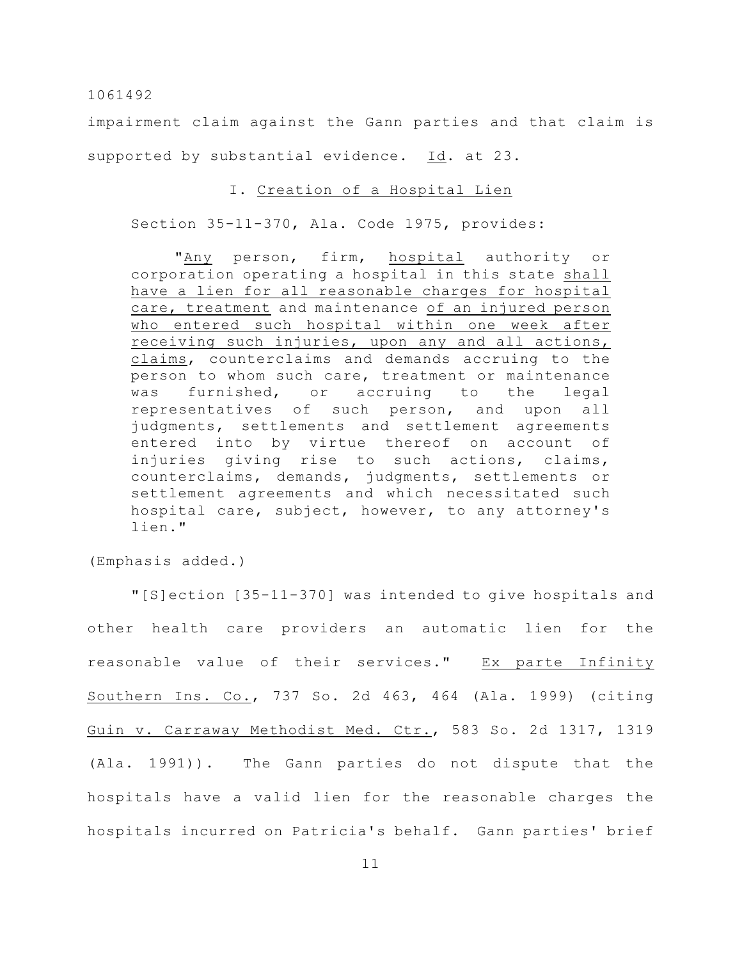impairment claim against the Gann parties and that claim is supported by substantial evidence. Id. at 23.

## I. Creation of a Hospital Lien

Section 35-11-370, Ala. Code 1975, provides:

"Any person, firm, hospital authority or corporation operating a hospital in this state shall have a lien for all reasonable charges for hospital care, treatment and maintenance of an injured person who entered such hospital within one week after receiving such injuries, upon any and all actions, claims, counterclaims and demands accruing to the person to whom such care, treatment or maintenance was furnished, or accruing to the legal representatives of such person, and upon all judgments, settlements and settlement agreements entered into by virtue thereof on account of injuries giving rise to such actions, claims, counterclaims, demands, judgments, settlements or settlement agreements and which necessitated such hospital care, subject, however, to any attorney's lien."

(Emphasis added.)

"[S]ection [35-11-370] was intended to give hospitals and other health care providers an automatic lien for the reasonable value of their services." Ex parte Infinity Southern Ins. Co., 737 So. 2d 463, 464 (Ala. 1999) (citing Guin v. Carraway Methodist Med. Ctr., 583 So. 2d 1317, 1319 (Ala. 1991)). The Gann parties do not dispute that the hospitals have a valid lien for the reasonable charges the hospitals incurred on Patricia's behalf. Gann parties' brief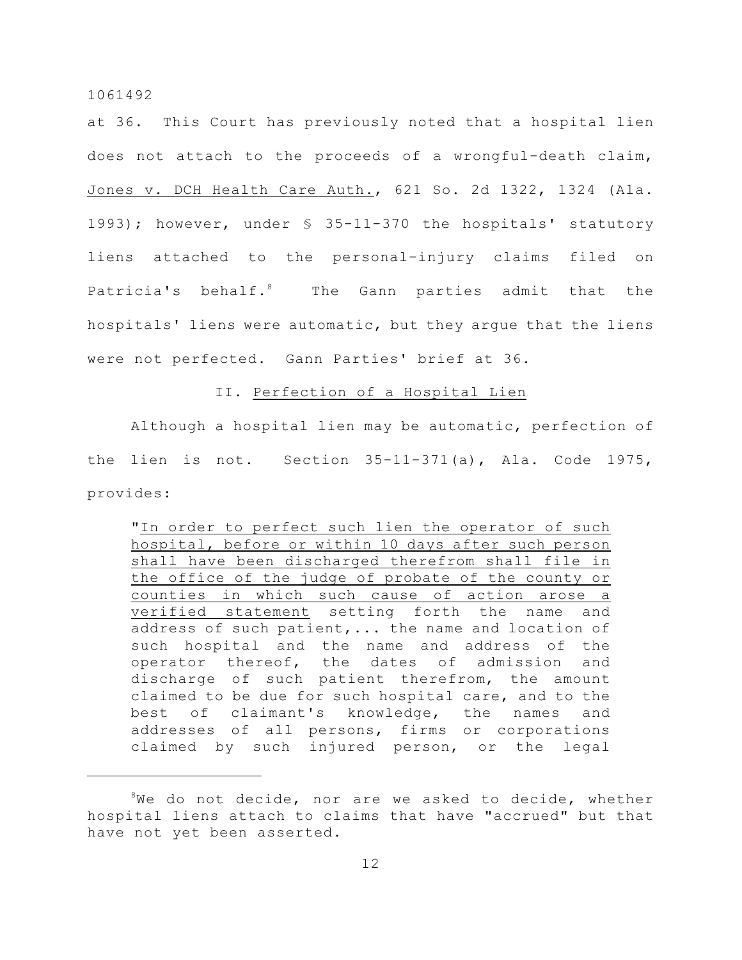at 36. This Court has previously noted that a hospital lien does not attach to the proceeds of a wrongful-death claim, Jones v. DCH Health Care Auth., 621 So. 2d 1322, 1324 (Ala. 1993); however, under § 35-11-370 the hospitals' statutory liens attached to the personal-injury claims filed on Patricia's behalf.<sup>8</sup> The Gann parties admit that the hospitals' liens were automatic, but they argue that the liens were not perfected. Gann Parties' brief at 36.

## II. Perfection of a Hospital Lien

Although a hospital lien may be automatic, perfection of the lien is not. Section 35-11-371(a), Ala. Code 1975, provides:

"In order to perfect such lien the operator of such hospital, before or within 10 days after such person shall have been discharged therefrom shall file in the office of the judge of probate of the county or counties in which such cause of action arose a verified statement setting forth the name and address of such patient,... the name and location of such hospital and the name and address of the operator thereof, the dates of admission and discharge of such patient therefrom, the amount claimed to be due for such hospital care, and to the best of claimant's knowledge, the names and addresses of all persons, firms or corporations claimed by such injured person, or the legal

 $8$ We do not decide, nor are we asked to decide, whether hospital liens attach to claims that have "accrued" but that have not yet been asserted.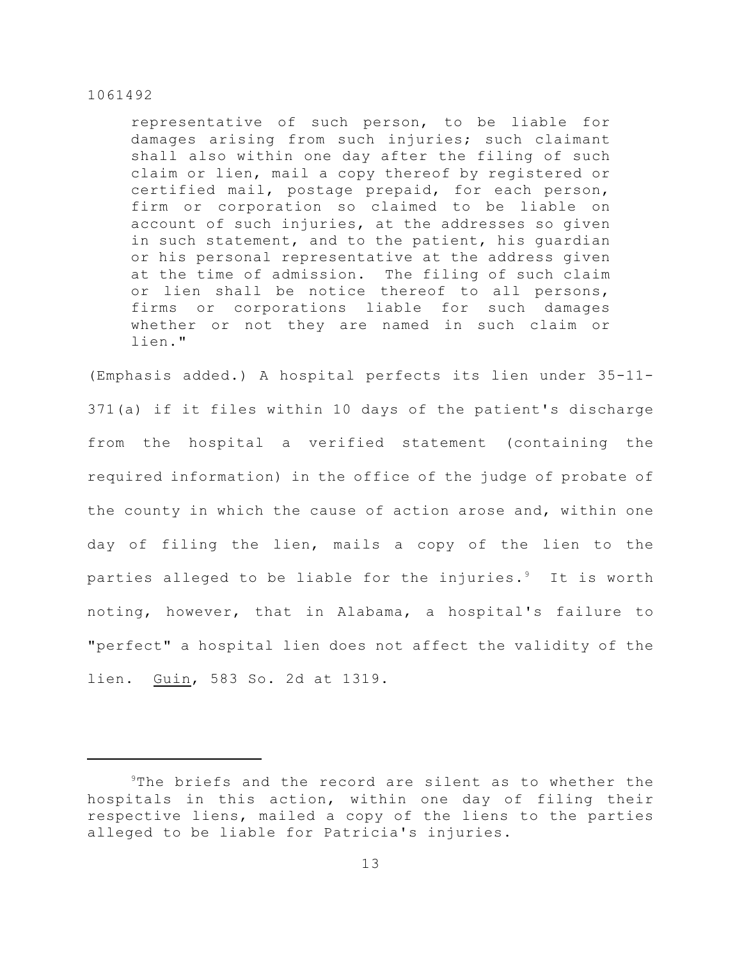representative of such person, to be liable for damages arising from such injuries; such claimant shall also within one day after the filing of such claim or lien, mail a copy thereof by registered or certified mail, postage prepaid, for each person, firm or corporation so claimed to be liable on account of such injuries, at the addresses so given in such statement, and to the patient, his guardian or his personal representative at the address given at the time of admission. The filing of such claim or lien shall be notice thereof to all persons, firms or corporations liable for such damages whether or not they are named in such claim or lien."

(Emphasis added.) A hospital perfects its lien under 35-11- 371(a) if it files within 10 days of the patient's discharge from the hospital a verified statement (containing the required information) in the office of the judge of probate of the county in which the cause of action arose and, within one day of filing the lien, mails a copy of the lien to the parties alleged to be liable for the injuries. $9$  It is worth noting, however, that in Alabama, a hospital's failure to "perfect" a hospital lien does not affect the validity of the lien. Guin, 583 So. 2d at 1319.

 $9$ The briefs and the record are silent as to whether the hospitals in this action, within one day of filing their respective liens, mailed a copy of the liens to the parties alleged to be liable for Patricia's injuries.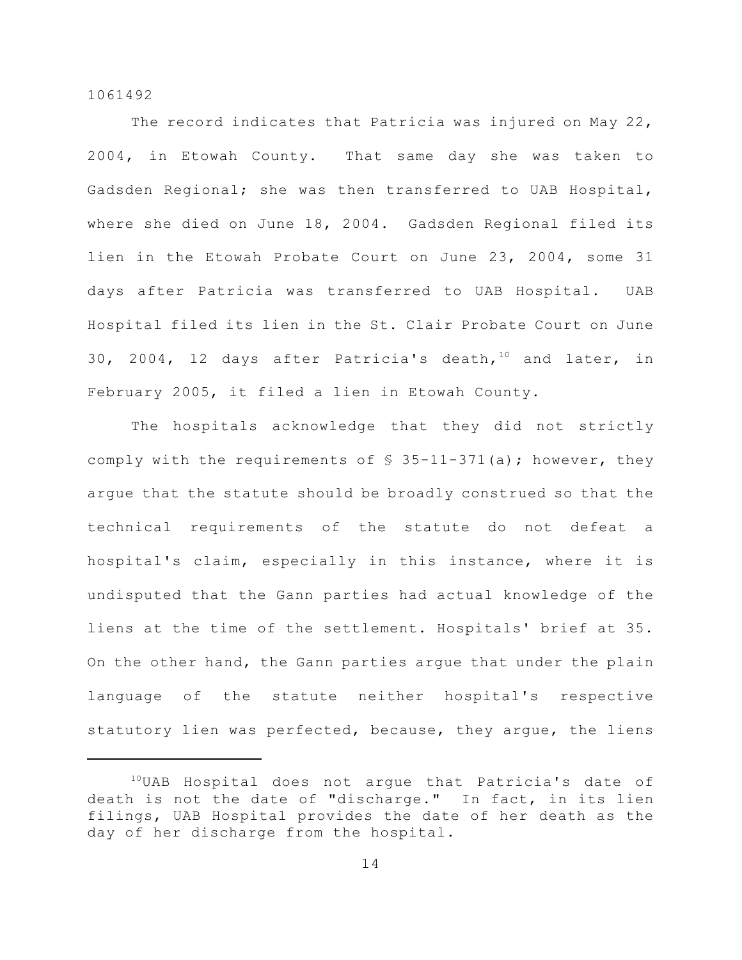The record indicates that Patricia was injured on May 22, 2004, in Etowah County. That same day she was taken to Gadsden Regional; she was then transferred to UAB Hospital, where she died on June 18, 2004. Gadsden Regional filed its lien in the Etowah Probate Court on June 23, 2004, some 31 days after Patricia was transferred to UAB Hospital. UAB Hospital filed its lien in the St. Clair Probate Court on June 30, 2004, 12 days after Patricia's death,  $10^{\circ}$  and later, in February 2005, it filed a lien in Etowah County.

The hospitals acknowledge that they did not strictly comply with the requirements of  $$35-11-371(a)$ ; however, they argue that the statute should be broadly construed so that the technical requirements of the statute do not defeat a hospital's claim, especially in this instance, where it is undisputed that the Gann parties had actual knowledge of the liens at the time of the settlement. Hospitals' brief at 35. On the other hand, the Gann parties argue that under the plain language of the statute neither hospital's respective statutory lien was perfected, because, they argue, the liens

 $10$ UAB Hospital does not argue that Patricia's date of death is not the date of "discharge." In fact, in its lien filings, UAB Hospital provides the date of her death as the day of her discharge from the hospital.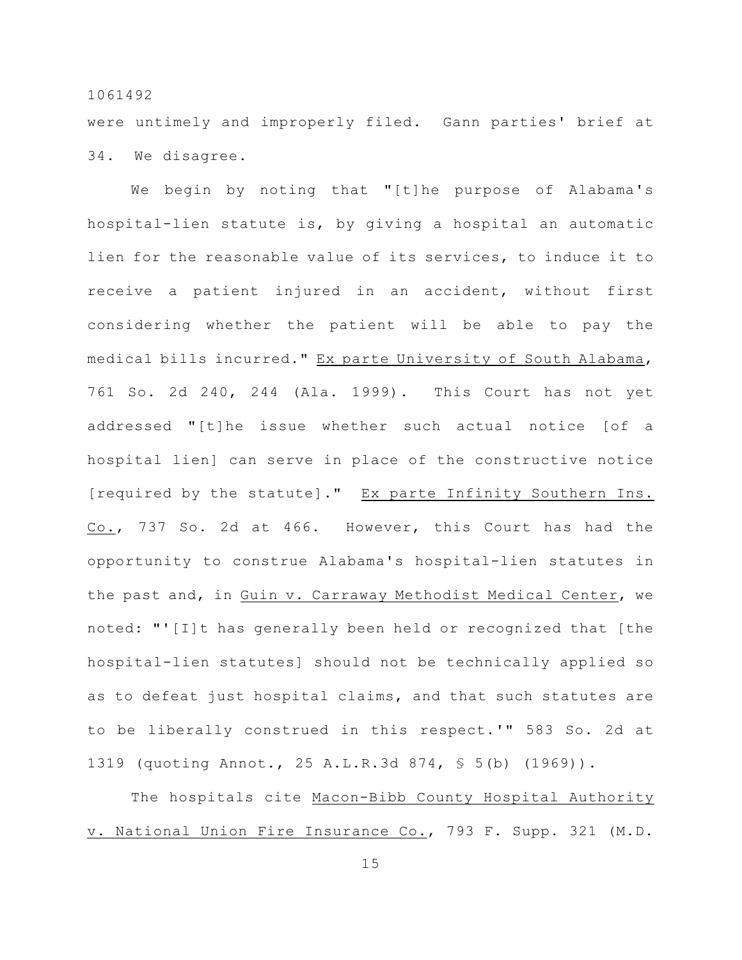were untimely and improperly filed. Gann parties' brief at 34. We disagree.

We begin by noting that "[t]he purpose of Alabama's hospital-lien statute is, by giving a hospital an automatic lien for the reasonable value of its services, to induce it to receive a patient injured in an accident, without first considering whether the patient will be able to pay the medical bills incurred." Ex parte University of South Alabama, 761 So. 2d 240, 244 (Ala. 1999). This Court has not yet addressed "[t]he issue whether such actual notice [of a hospital lien] can serve in place of the constructive notice [required by the statute]." Ex parte Infinity Southern Ins. Co., 737 So. 2d at 466. However, this Court has had the opportunity to construe Alabama's hospital-lien statutes in the past and, in Guin v. Carraway Methodist Medical Center, we noted: "'[I]t has generally been held or recognized that [the hospital-lien statutes] should not be technically applied so as to defeat just hospital claims, and that such statutes are to be liberally construed in this respect.'" 583 So. 2d at 1319 (quoting Annot., 25 A.L.R.3d 874, § 5(b) (1969)).

The hospitals cite Macon-Bibb County Hospital Authority v. National Union Fire Insurance Co., 793 F. Supp. 321 (M.D.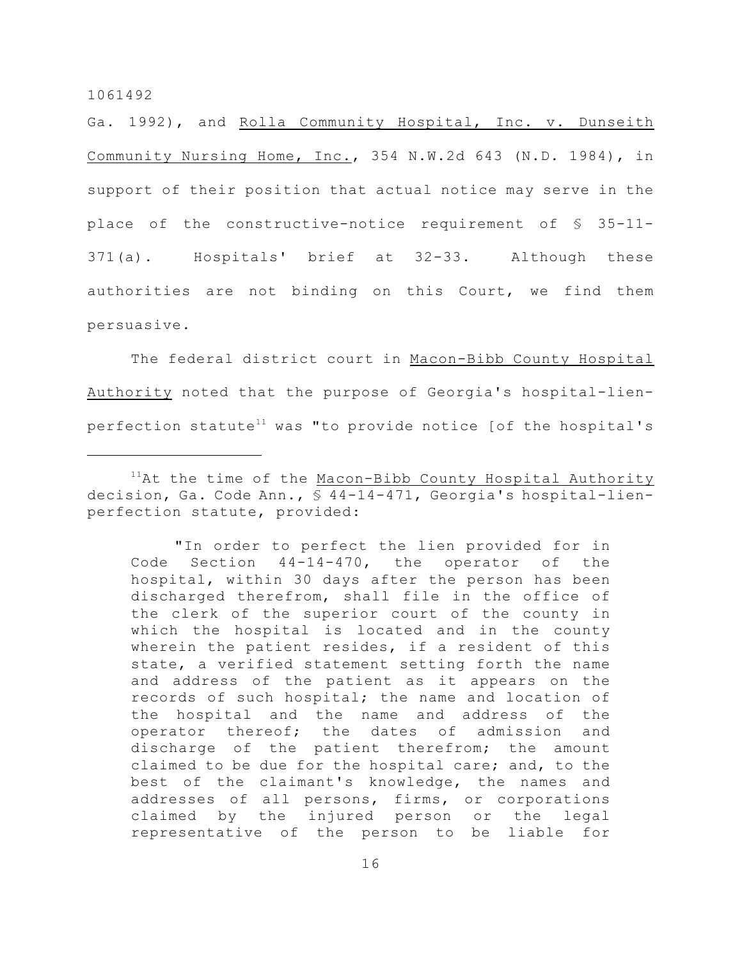Ga. 1992), and Rolla Community Hospital, Inc. v. Dunseith Community Nursing Home, Inc., 354 N.W.2d 643 (N.D. 1984), in support of their position that actual notice may serve in the place of the constructive-notice requirement of § 35-11- 371(a). Hospitals' brief at 32-33. Although these authorities are not binding on this Court, we find them persuasive.

The federal district court in Macon-Bibb County Hospital Authority noted that the purpose of Georgia's hospital-lienperfection statute<sup>11</sup> was "to provide notice [of the hospital's

"In order to perfect the lien provided for in Code Section 44-14-470, the operator of the hospital, within 30 days after the person has been discharged therefrom, shall file in the office of the clerk of the superior court of the county in which the hospital is located and in the county wherein the patient resides, if a resident of this state, a verified statement setting forth the name and address of the patient as it appears on the records of such hospital; the name and location of the hospital and the name and address of the operator thereof; the dates of admission and discharge of the patient therefrom; the amount claimed to be due for the hospital care; and, to the best of the claimant's knowledge, the names and addresses of all persons, firms, or corporations claimed by the injured person or the legal representative of the person to be liable for

 $11$ At the time of the Macon-Bibb County Hospital Authority decision, Ga. Code Ann., § 44-14-471, Georgia's hospital-lienperfection statute, provided: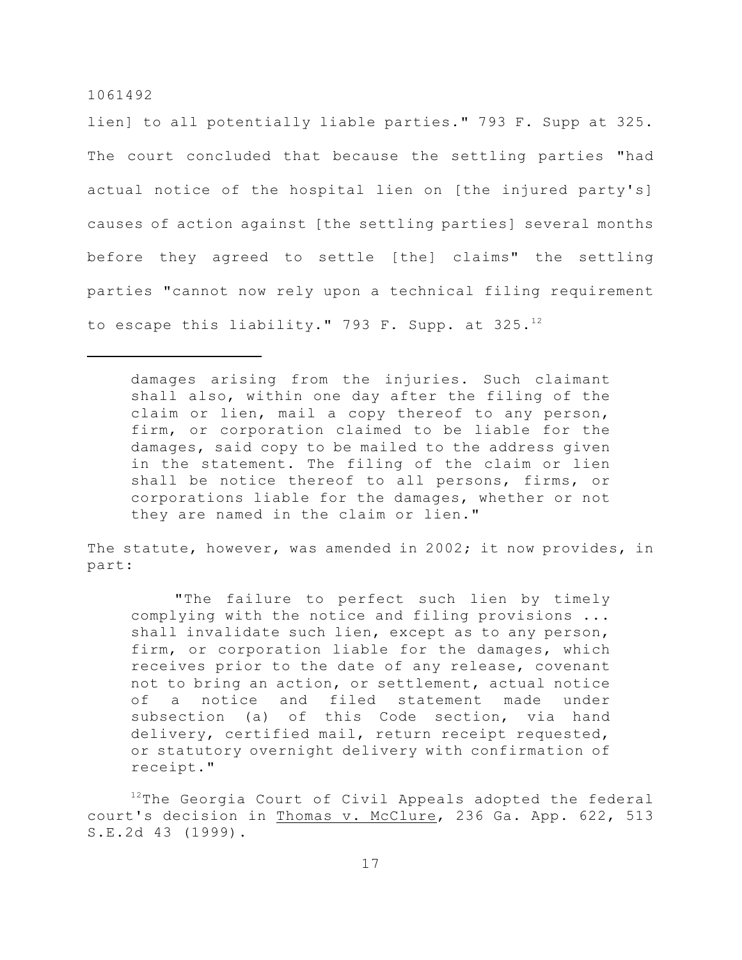lien] to all potentially liable parties." 793 F. Supp at 325. The court concluded that because the settling parties "had actual notice of the hospital lien on [the injured party's] causes of action against [the settling parties] several months before they agreed to settle [the] claims" the settling parties "cannot now rely upon a technical filing requirement to escape this liability." 793 F. Supp. at 325.<sup>12</sup>

damages arising from the injuries. Such claimant shall also, within one day after the filing of the claim or lien, mail a copy thereof to any person, firm, or corporation claimed to be liable for the damages, said copy to be mailed to the address given in the statement. The filing of the claim or lien shall be notice thereof to all persons, firms, or corporations liable for the damages, whether or not they are named in the claim or lien."

The statute, however, was amended in 2002; it now provides, in part:

"The failure to perfect such lien by timely complying with the notice and filing provisions ... shall invalidate such lien, except as to any person, firm, or corporation liable for the damages, which receives prior to the date of any release, covenant not to bring an action, or settlement, actual notice of a notice and filed statement made under subsection (a) of this Code section, via hand delivery, certified mail, return receipt requested, or statutory overnight delivery with confirmation of receipt."

 $12$ The Georgia Court of Civil Appeals adopted the federal court's decision in Thomas v. McClure, 236 Ga. App. 622, 513 S.E.2d 43 (1999).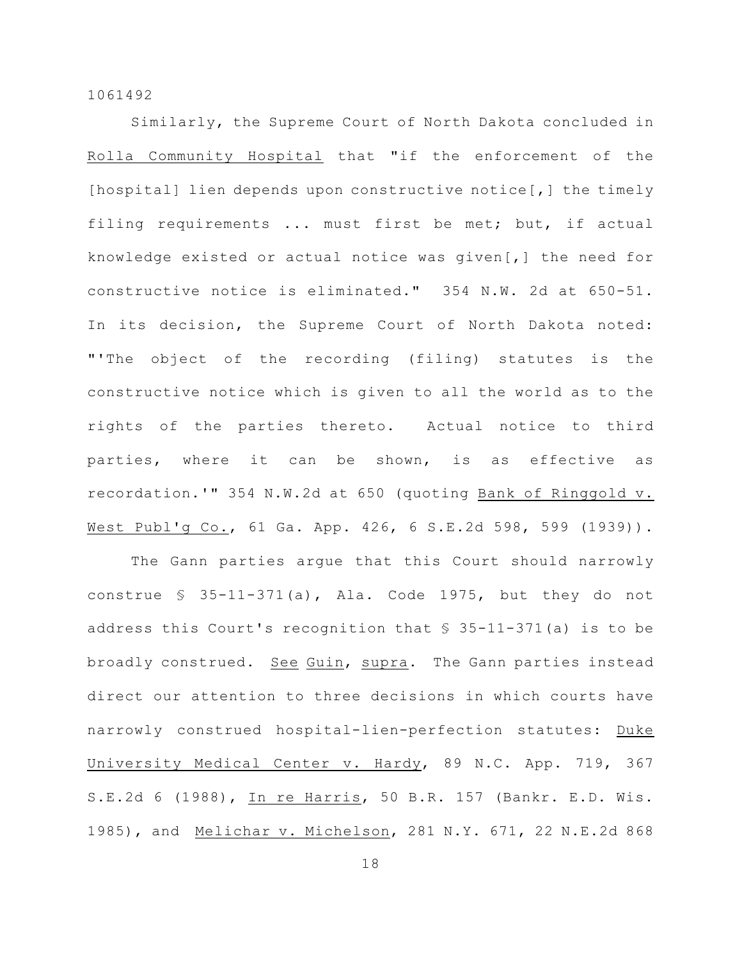Similarly, the Supreme Court of North Dakota concluded in Rolla Community Hospital that "if the enforcement of the [hospital] lien depends upon constructive notice[,] the timely filing requirements ... must first be met; but, if actual knowledge existed or actual notice was given[,] the need for constructive notice is eliminated." 354 N.W. 2d at 650-51. In its decision, the Supreme Court of North Dakota noted: "'The object of the recording (filing) statutes is the constructive notice which is given to all the world as to the rights of the parties thereto. Actual notice to third parties, where it can be shown, is as effective as recordation.'" 354 N.W.2d at 650 (quoting Bank of Ringgold v. West Publ'g Co., 61 Ga. App. 426, 6 S.E.2d 598, 599 (1939)).

The Gann parties argue that this Court should narrowly construe § 35-11-371(a), Ala. Code 1975, but they do not address this Court's recognition that § 35-11-371(a) is to be broadly construed. See Guin, supra. The Gann parties instead direct our attention to three decisions in which courts have narrowly construed hospital-lien-perfection statutes: Duke University Medical Center v. Hardy, 89 N.C. App. 719, 367 S.E.2d 6 (1988), In re Harris, 50 B.R. 157 (Bankr. E.D. Wis. 1985), and Melichar v. Michelson, 281 N.Y. 671, 22 N.E.2d 868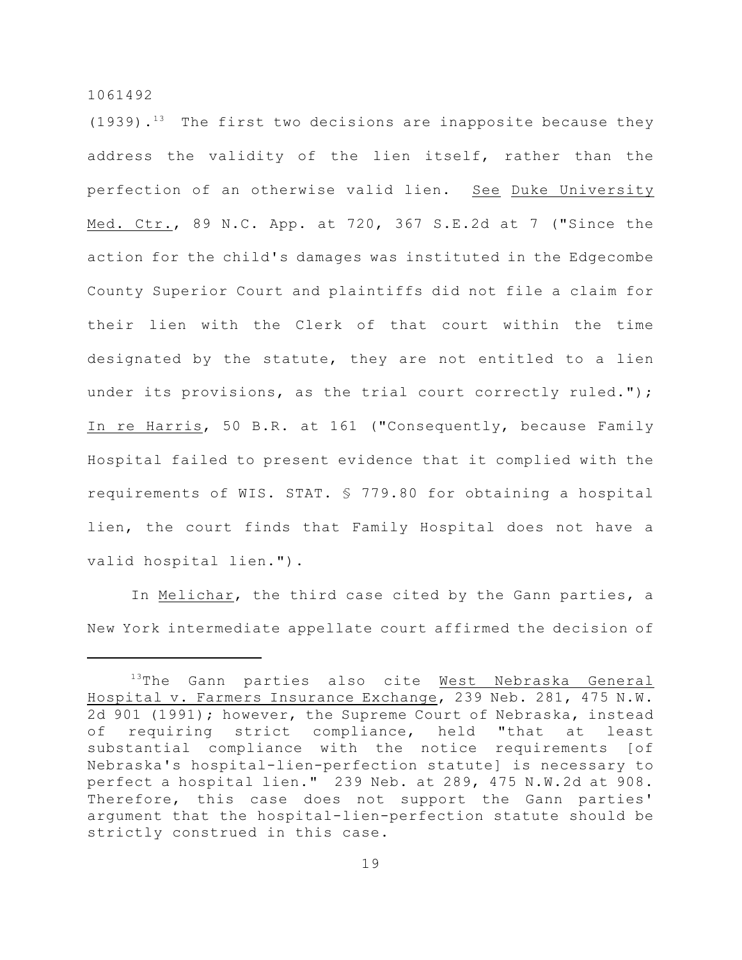$(1939)$ .<sup>13</sup> The first two decisions are inapposite because they address the validity of the lien itself, rather than the perfection of an otherwise valid lien. See Duke University Med. Ctr., 89 N.C. App. at 720, 367 S.E.2d at 7 ("Since the action for the child's damages was instituted in the Edgecombe County Superior Court and plaintiffs did not file a claim for their lien with the Clerk of that court within the time designated by the statute, they are not entitled to a lien under its provisions, as the trial court correctly ruled."); In re Harris, 50 B.R. at 161 ("Consequently, because Family Hospital failed to present evidence that it complied with the requirements of WIS. STAT. § 779.80 for obtaining a hospital lien, the court finds that Family Hospital does not have a valid hospital lien.").

In Melichar, the third case cited by the Gann parties, a New York intermediate appellate court affirmed the decision of

 $13$ The Gann parties also cite West Nebraska General Hospital v. Farmers Insurance Exchange, 239 Neb. 281, 475 N.W. 2d 901 (1991); however, the Supreme Court of Nebraska, instead of requiring strict compliance, held "that at least substantial compliance with the notice requirements [of Nebraska's hospital-lien-perfection statute] is necessary to perfect a hospital lien." 239 Neb. at 289, 475 N.W.2d at 908. Therefore, this case does not support the Gann parties' argument that the hospital-lien-perfection statute should be strictly construed in this case.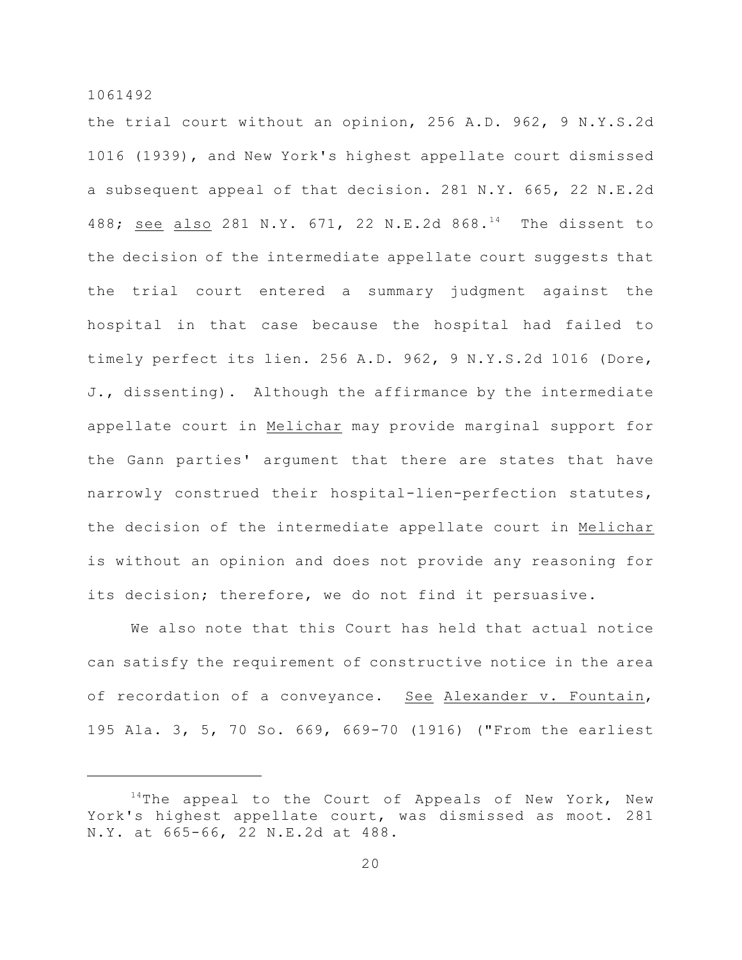the trial court without an opinion, 256 A.D. 962, 9 N.Y.S.2d 1016 (1939), and New York's highest appellate court dismissed a subsequent appeal of that decision. 281 N.Y. 665, 22 N.E.2d 488; see also 281 N.Y. 671, 22 N.E.2d 868.<sup>14</sup> The dissent to the decision of the intermediate appellate court suggests that the trial court entered a summary judgment against the hospital in that case because the hospital had failed to timely perfect its lien. 256 A.D. 962, 9 N.Y.S.2d 1016 (Dore, J., dissenting). Although the affirmance by the intermediate appellate court in Melichar may provide marginal support for the Gann parties' argument that there are states that have narrowly construed their hospital-lien-perfection statutes, the decision of the intermediate appellate court in Melichar is without an opinion and does not provide any reasoning for its decision; therefore, we do not find it persuasive.

We also note that this Court has held that actual notice can satisfy the requirement of constructive notice in the area of recordation of a conveyance. See Alexander v. Fountain, 195 Ala. 3, 5, 70 So. 669, 669-70 (1916) ("From the earliest

 $14$ The appeal to the Court of Appeals of New York, New York's highest appellate court, was dismissed as moot. 281 N.Y. at 665-66, 22 N.E.2d at 488.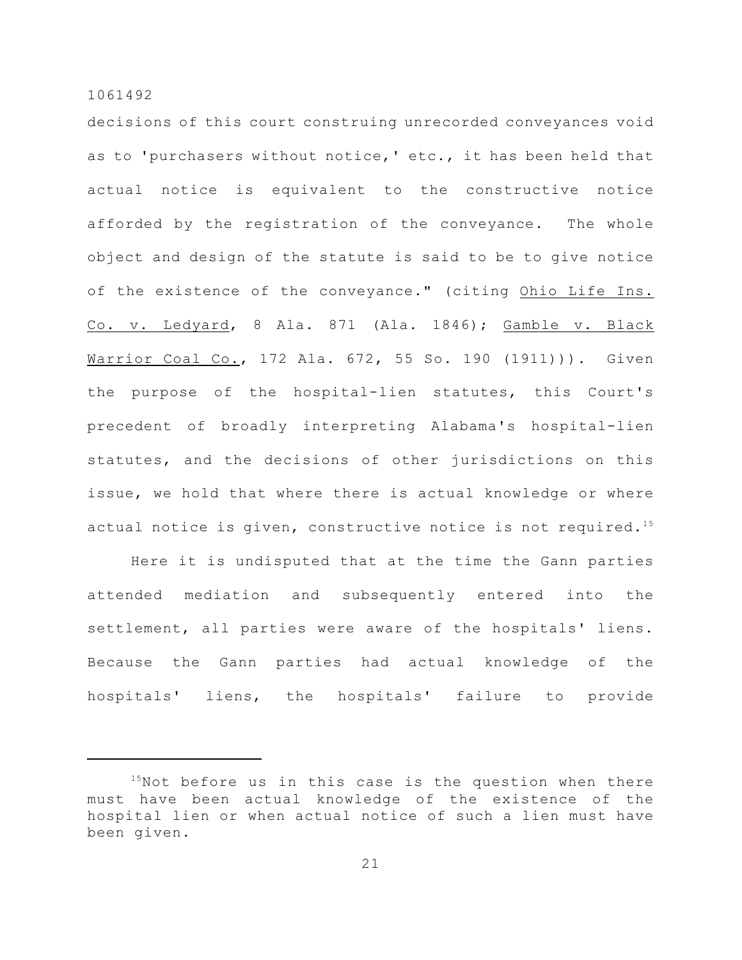decisions of this court construing unrecorded conveyances void as to 'purchasers without notice,' etc., it has been held that actual notice is equivalent to the constructive notice afforded by the registration of the conveyance. The whole object and design of the statute is said to be to give notice of the existence of the conveyance." (citing Ohio Life Ins. Co. v. Ledyard, 8 Ala. 871 (Ala. 1846); Gamble v. Black Warrior Coal Co., 172 Ala. 672, 55 So. 190 (1911))). Given the purpose of the hospital-lien statutes, this Court's precedent of broadly interpreting Alabama's hospital-lien statutes, and the decisions of other jurisdictions on this issue, we hold that where there is actual knowledge or where actual notice is given, constructive notice is not required.<sup>15</sup>

Here it is undisputed that at the time the Gann parties attended mediation and subsequently entered into the settlement, all parties were aware of the hospitals' liens. Because the Gann parties had actual knowledge of the hospitals' liens, the hospitals' failure to provide

 $15$ Not before us in this case is the question when there must have been actual knowledge of the existence of the hospital lien or when actual notice of such a lien must have been given.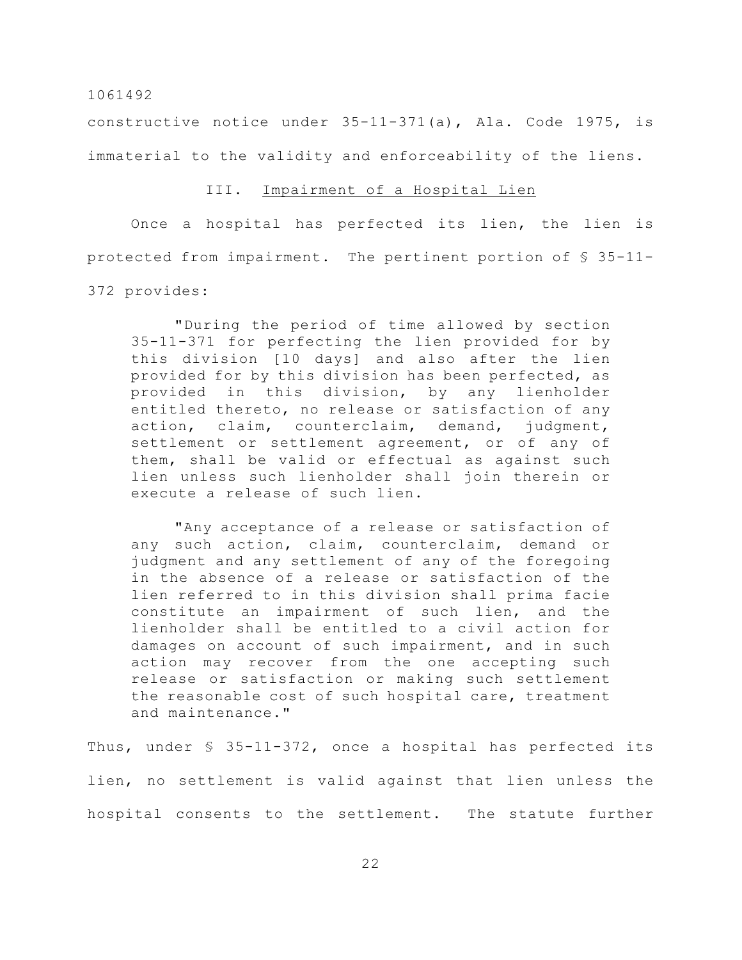constructive notice under 35-11-371(a), Ala. Code 1975, is immaterial to the validity and enforceability of the liens.

## III. Impairment of a Hospital Lien

Once a hospital has perfected its lien, the lien is protected from impairment. The pertinent portion of § 35-11- 372 provides:

"During the period of time allowed by section 35-11-371 for perfecting the lien provided for by this division [10 days] and also after the lien provided for by this division has been perfected, as provided in this division, by any lienholder entitled thereto, no release or satisfaction of any action, claim, counterclaim, demand, judgment, settlement or settlement agreement, or of any of them, shall be valid or effectual as against such lien unless such lienholder shall join therein or execute a release of such lien.

"Any acceptance of a release or satisfaction of any such action, claim, counterclaim, demand or judgment and any settlement of any of the foregoing in the absence of a release or satisfaction of the lien referred to in this division shall prima facie constitute an impairment of such lien, and the lienholder shall be entitled to a civil action for damages on account of such impairment, and in such action may recover from the one accepting such release or satisfaction or making such settlement the reasonable cost of such hospital care, treatment and maintenance."

Thus, under § 35-11-372, once a hospital has perfected its lien, no settlement is valid against that lien unless the hospital consents to the settlement. The statute further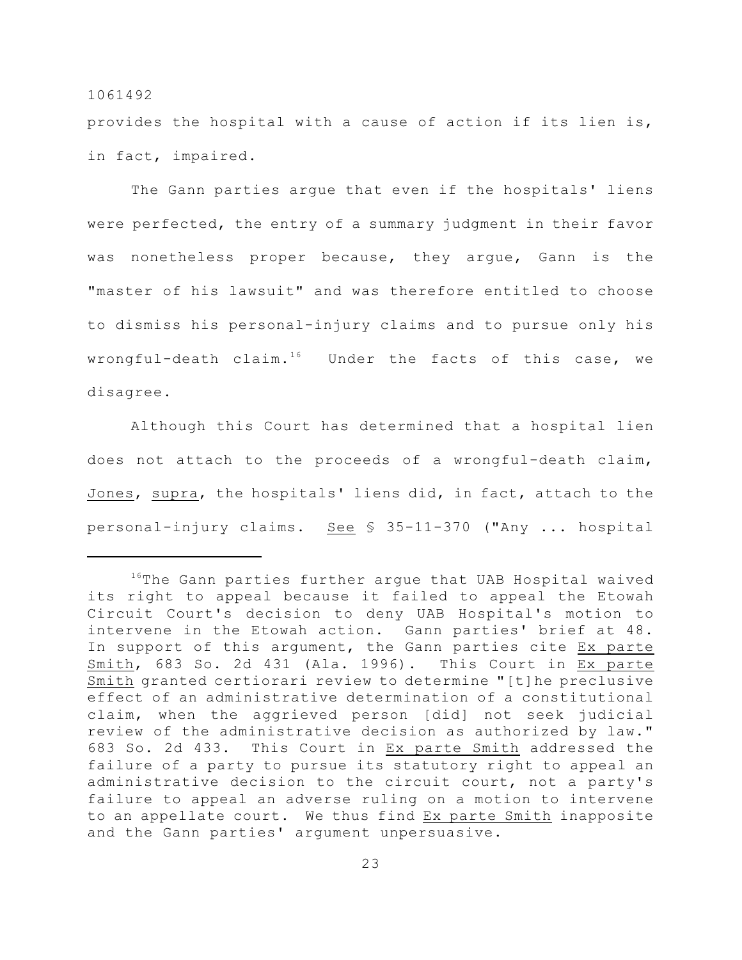provides the hospital with a cause of action if its lien is, in fact, impaired.

The Gann parties argue that even if the hospitals' liens were perfected, the entry of a summary judgment in their favor was nonetheless proper because, they argue, Gann is the "master of his lawsuit" and was therefore entitled to choose to dismiss his personal-injury claims and to pursue only his wrongful-death claim.<sup>16</sup> Under the facts of this case, we disagree.

Although this Court has determined that a hospital lien does not attach to the proceeds of a wrongful-death claim, Jones, supra, the hospitals' liens did, in fact, attach to the personal-injury claims. See § 35-11-370 ("Any ... hospital

 $16$ The Gann parties further argue that UAB Hospital waived its right to appeal because it failed to appeal the Etowah Circuit Court's decision to deny UAB Hospital's motion to intervene in the Etowah action. Gann parties' brief at 48. In support of this argument, the Gann parties cite Ex parte Smith, 683 So. 2d 431 (Ala. 1996). This Court in Ex parte Smith granted certiorari review to determine "[t]he preclusive effect of an administrative determination of a constitutional claim, when the aggrieved person [did] not seek judicial review of the administrative decision as authorized by law." 683 So. 2d 433. This Court in Ex parte Smith addressed the failure of a party to pursue its statutory right to appeal an administrative decision to the circuit court, not a party's failure to appeal an adverse ruling on a motion to intervene to an appellate court. We thus find Ex parte Smith inapposite and the Gann parties' argument unpersuasive.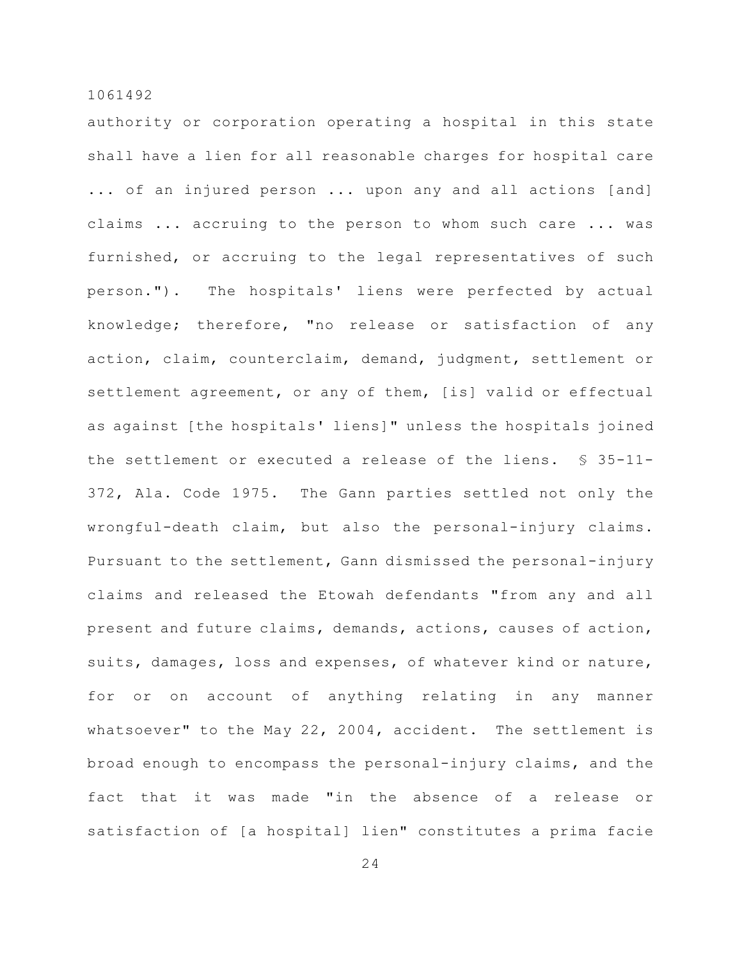authority or corporation operating a hospital in this state shall have a lien for all reasonable charges for hospital care ... of an injured person ... upon any and all actions [and] claims ... accruing to the person to whom such care ... was furnished, or accruing to the legal representatives of such person."). The hospitals' liens were perfected by actual knowledge; therefore, "no release or satisfaction of any action, claim, counterclaim, demand, judgment, settlement or settlement agreement, or any of them, [is] valid or effectual as against [the hospitals' liens]" unless the hospitals joined the settlement or executed a release of the liens. § 35-11- 372, Ala. Code 1975. The Gann parties settled not only the wrongful-death claim, but also the personal-injury claims. Pursuant to the settlement, Gann dismissed the personal-injury claims and released the Etowah defendants "from any and all present and future claims, demands, actions, causes of action, suits, damages, loss and expenses, of whatever kind or nature, for or on account of anything relating in any manner whatsoever" to the May 22, 2004, accident. The settlement is broad enough to encompass the personal-injury claims, and the fact that it was made "in the absence of a release or satisfaction of [a hospital] lien" constitutes a prima facie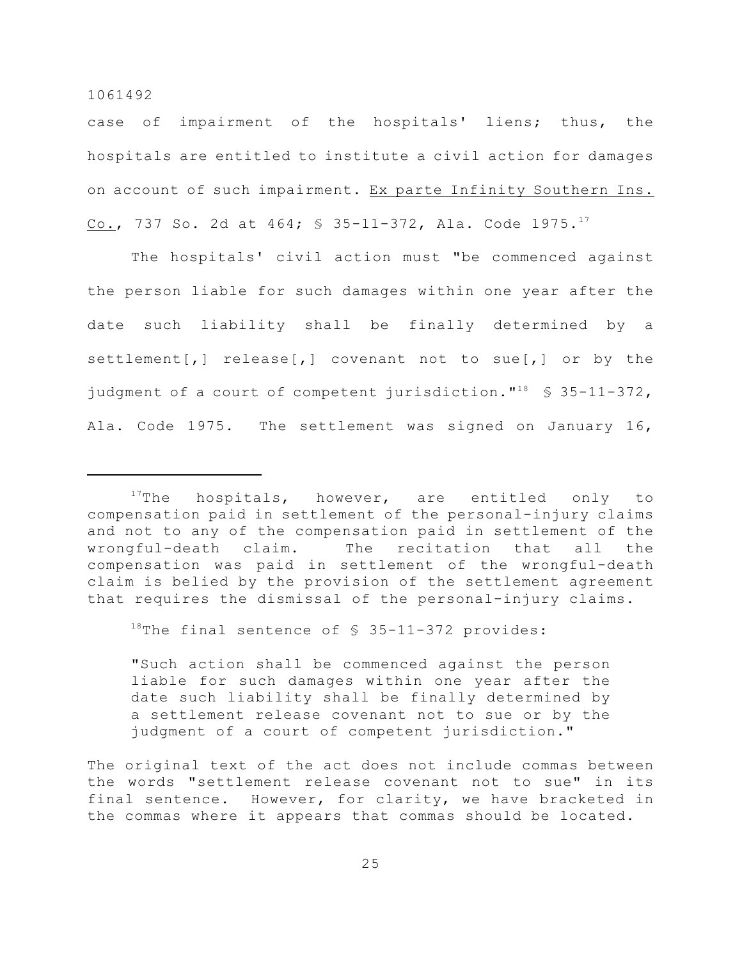case of impairment of the hospitals' liens; thus, the hospitals are entitled to institute a civil action for damages on account of such impairment. Ex parte Infinity Southern Ins. Co., 737 So. 2d at 464; § 35-11-372, Ala. Code 1975. 17

The hospitals' civil action must "be commenced against the person liable for such damages within one year after the date such liability shall be finally determined by a settlement[,] release[,] covenant not to sue[,] or by the judgment of a court of competent jurisdiction."<sup>18</sup>  $\frac{18}{18}$  \$ 35-11-372, Ala. Code 1975. The settlement was signed on January 16,

<sup>18</sup>The final sentence of  $\S$  35-11-372 provides:

"Such action shall be commenced against the person liable for such damages within one year after the date such liability shall be finally determined by a settlement release covenant not to sue or by the judgment of a court of competent jurisdiction."

The original text of the act does not include commas between the words "settlement release covenant not to sue" in its final sentence. However, for clarity, we have bracketed in the commas where it appears that commas should be located.

 $17$ The hospitals, however, are entitled only to compensation paid in settlement of the personal-injury claims and not to any of the compensation paid in settlement of the wrongful-death claim. The recitation that all the compensation was paid in settlement of the wrongful-death claim is belied by the provision of the settlement agreement that requires the dismissal of the personal-injury claims.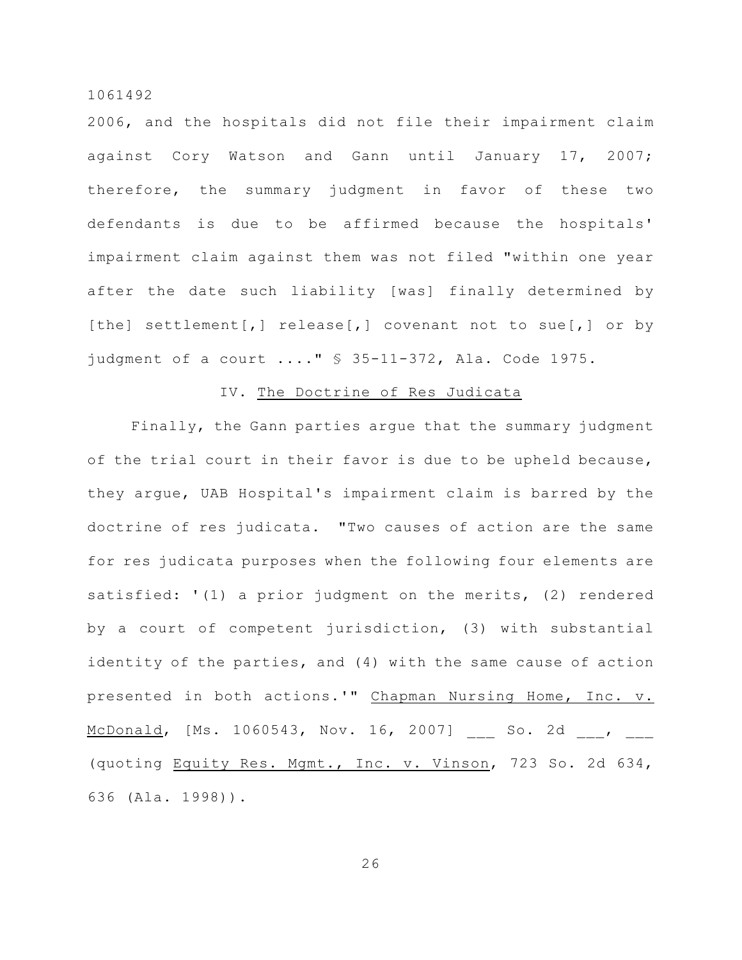2006, and the hospitals did not file their impairment claim against Cory Watson and Gann until January 17, 2007; therefore, the summary judgment in favor of these two defendants is due to be affirmed because the hospitals' impairment claim against them was not filed "within one year after the date such liability [was] finally determined by [the] settlement[,] release[,] covenant not to sue[,] or by judgment of a court ...." § 35-11-372, Ala. Code 1975.

## IV. The Doctrine of Res Judicata

Finally, the Gann parties argue that the summary judgment of the trial court in their favor is due to be upheld because, they argue, UAB Hospital's impairment claim is barred by the doctrine of res judicata. "Two causes of action are the same for res judicata purposes when the following four elements are satisfied: '(1) a prior judgment on the merits, (2) rendered by a court of competent jurisdiction, (3) with substantial identity of the parties, and (4) with the same cause of action presented in both actions.'" Chapman Nursing Home, Inc. v. McDonald, [Ms. 1060543, Nov. 16, 2007] \_\_\_ So. 2d \_\_\_, \_\_\_ (quoting Equity Res. Mgmt., Inc. v. Vinson, 723 So. 2d 634, 636 (Ala. 1998)).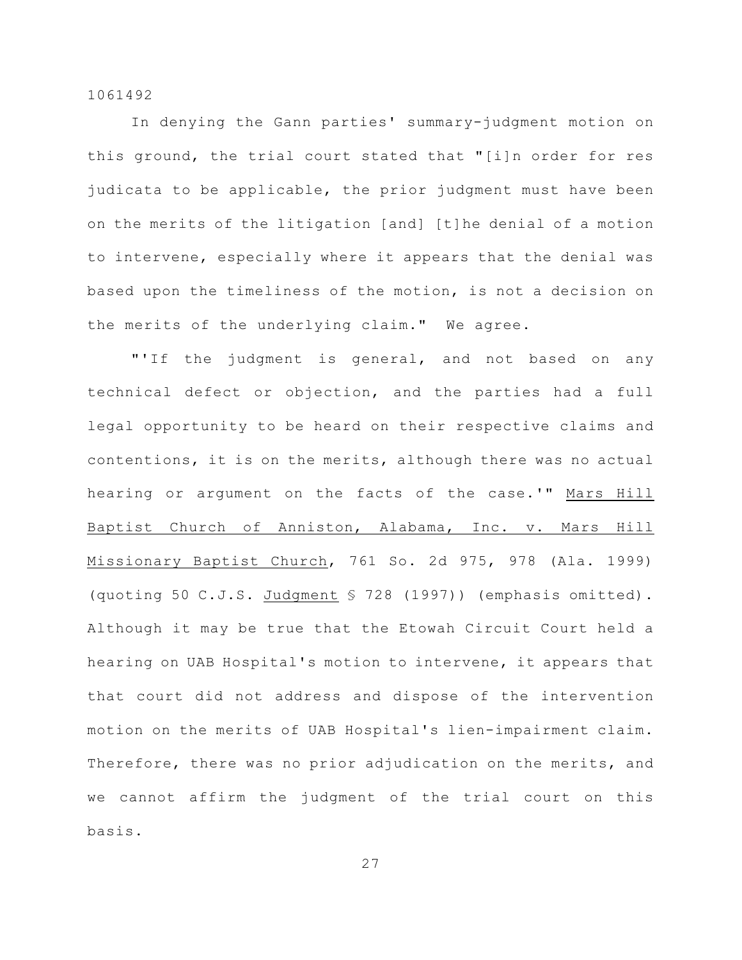In denying the Gann parties' summary-judgment motion on this ground, the trial court stated that "[i]n order for res judicata to be applicable, the prior judgment must have been on the merits of the litigation [and] [t]he denial of a motion to intervene, especially where it appears that the denial was based upon the timeliness of the motion, is not a decision on the merits of the underlying claim." We agree.

"'If the judgment is general, and not based on any technical defect or objection, and the parties had a full legal opportunity to be heard on their respective claims and contentions, it is on the merits, although there was no actual hearing or argument on the facts of the case.'" Mars Hill Baptist Church of Anniston, Alabama, Inc. v. Mars Hill Missionary Baptist Church, 761 So. 2d 975, 978 (Ala. 1999) (quoting 50 C.J.S. Judgment § 728 (1997)) (emphasis omitted). Although it may be true that the Etowah Circuit Court held a hearing on UAB Hospital's motion to intervene, it appears that that court did not address and dispose of the intervention motion on the merits of UAB Hospital's lien-impairment claim. Therefore, there was no prior adjudication on the merits, and we cannot affirm the judgment of the trial court on this basis.